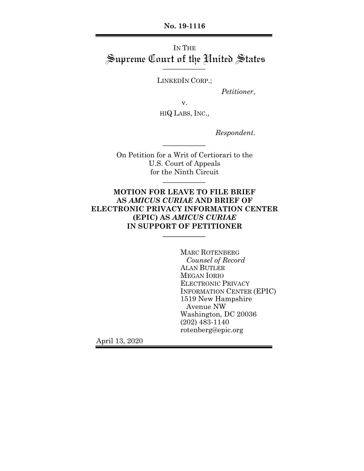**No. 19-1116**

# IN THE Supreme Court of the United States

LINKEDIN CORP.;

*Petitioner*,

v.

HIQ LABS, INC.,

*Respondent.*

On Petition for a Writ of Certiorari to the U.S. Court of Appeals for the Ninth Circuit

### **MOTION FOR LEAVE TO FILE BRIEF AS** *AMICUS CURIAE* **AND BRIEF OF ELECTRONIC PRIVACY INFORMATION CENTER (EPIC) AS** *AMICUS CURIAE* **IN SUPPORT OF PETITIONER**

MARC ROTENBERG *Counsel of Record* ALAN BUTLER MEGAN IORIO ELECTRONIC PRIVACY INFORMATION CENTER (EPIC) 1519 New Hampshire Avenue NW Washington, DC 20036 (202) 483-1140 rotenberg@epic.org

April 13, 2020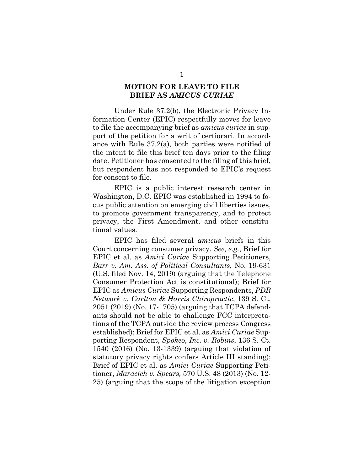#### **MOTION FOR LEAVE TO FILE BRIEF AS** *AMICUS CURIAE*

Under Rule 37.2(b), the Electronic Privacy Information Center (EPIC) respectfully moves for leave to file the accompanying brief as *amicus curiae* in support of the petition for a writ of certiorari. In accordance with Rule 37.2(a), both parties were notified of the intent to file this brief ten days prior to the filing date. Petitioner has consented to the filing of this brief, but respondent has not responded to EPIC's request for consent to file.

EPIC is a public interest research center in Washington, D.C. EPIC was established in 1994 to focus public attention on emerging civil liberties issues, to promote government transparency, and to protect privacy, the First Amendment, and other constitutional values.

EPIC has filed several *amicus* briefs in this Court concerning consumer privacy. *See, e.g.*, Brief for EPIC et al. as *Amici Curiae* Supporting Petitioners, *Barr v. Am. Ass. of Political Consultants*, No. 19-631 (U.S. filed Nov. 14, 2019) (arguing that the Telephone Consumer Protection Act is constitutional); Brief for EPIC as *Amicus Curiae* Supporting Respondents, *PDR Network v. Carlton & Harris Chiropractic*, 139 S. Ct. 2051 (2019) (No. 17-1705) (arguing that TCPA defendants should not be able to challenge FCC interpretations of the TCPA outside the review process Congress established); Brief for EPIC et al. as *Amici Curiae* Supporting Respondent, *Spokeo, Inc. v. Robins*, 136 S. Ct. 1540 (2016) (No. 13-1339) (arguing that violation of statutory privacy rights confers Article III standing); Brief of EPIC et al. as *Amici Curiae* Supporting Petitioner, *Maracich v. Spears,* 570 U.S. 48 (2013) (No. 12- 25) (arguing that the scope of the litigation exception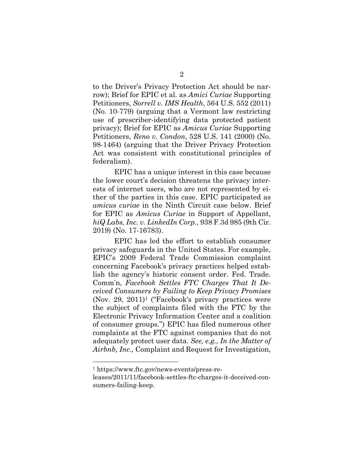to the Driver's Privacy Protection Act should be narrow); Brief for EPIC et al. as *Amici Curiae* Supporting Petitioners, *Sorrell v. IMS Health*, 564 U.S. 552 (2011) (No. 10-779) (arguing that a Vermont law restricting use of prescriber-identifying data protected patient privacy); Brief for EPIC as *Amicus Curiae* Supporting Petitioners, *Reno v. Condon*, 528 U.S. 141 (2000) (No. 98-1464) (arguing that the Driver Privacy Protection Act was consistent with constitutional principles of federalism).

EPIC has a unique interest in this case because the lower court's decision threatens the privacy interests of internet users, who are not represented by either of the parties in this case. EPIC participated as *amicus curiae* in the Ninth Circuit case below. Brief for EPIC as *Amicus Curiae* in Support of Appellant, *hiQ Labs, Inc. v. LinkedIn Corp.*, 938 F.3d 985 (9th Cir. 2019) (No. 17-16783).

EPIC has led the effort to establish consumer privacy safeguards in the United States. For example, EPIC's 2009 Federal Trade Commission complaint concerning Facebook's privacy practices helped establish the agency's historic consent order. Fed. Trade. Comm'n, *Facebook Settles FTC Charges That It Deceived Consumers by Failing to Keep Privacy Promises* (Nov. 29, 2011)1 ("Facebook's privacy practices were the subject of complaints filed with the FTC by the Electronic Privacy Information Center and a coalition of consumer groups.") EPIC has filed numerous other complaints at the FTC against companies that do not adequately protect user data. *See, e.g., In the Matter of Airbnb, Inc.,* Complaint and Request for Investigation,

<sup>1</sup> https://www.ftc.gov/news-events/press-re-

leases/2011/11/facebook-settles-ftc-charges-it-deceived-consumers-failing-keep.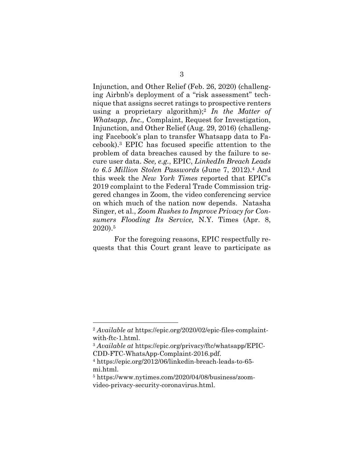Injunction, and Other Relief (Feb. 26, 2020) (challenging Airbnb's deployment of a "risk assessment" technique that assigns secret ratings to prospective renters using a proprietary algorithm);2 *In the Matter of Whatsapp, Inc.,* Complaint, Request for Investigation, Injunction, and Other Relief (Aug. 29, 2016) (challenging Facebook's plan to transfer Whatsapp data to Facebook).3 EPIC has focused specific attention to the problem of data breaches caused by the failure to secure user data. *See, e.g.*, EPIC, *LinkedIn Breach Leads to 6.5 Million Stolen Passwords* (June 7, 2012).4 And this week the *New York Times* reported that EPIC's 2019 complaint to the Federal Trade Commission triggered changes in Zoom, the video conferencing service on which much of the nation now depends. Natasha Singer, et al., *Zoom Rushes to Improve Privacy for Consumers Flooding Its Service,* N.Y. Times (Apr. 8, 2020).5

For the foregoing reasons, EPIC respectfully requests that this Court grant leave to participate as

<sup>2</sup> *Available at* https://epic.org/2020/02/epic-files-complaintwith-ftc-1.html.

<sup>3</sup> *Available at* https://epic.org/privacy/ftc/whatsapp/EPIC-CDD-FTC-WhatsApp-Complaint-2016.pdf.

<sup>4</sup> https://epic.org/2012/06/linkedin-breach-leads-to-65 mi.html.

<sup>5</sup> https://www.nytimes.com/2020/04/08/business/zoomvideo-privacy-security-coronavirus.html.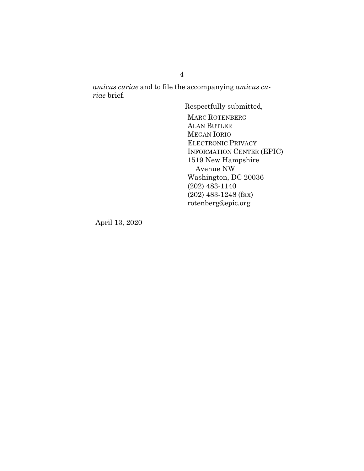*amicus curiae* and to file the accompanying *amicus curiae* brief.

> Respectfully submitted, MARC ROTENBERG ALAN BUTLER MEGAN IORIO ELECTRONIC PRIVACY INFORMATION CENTER (EPIC) 1519 New Hampshire Avenue NW Washington, DC 20036 (202) 483-1140 (202) 483-1248 (fax) rotenberg@epic.org

April 13, 2020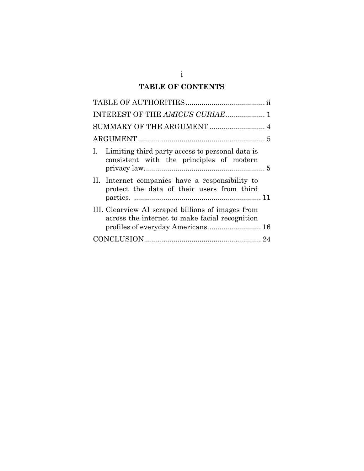# **TABLE OF CONTENTS**

| INTEREST OF THE AMICUS CURIAE 1                                                                                                          |
|------------------------------------------------------------------------------------------------------------------------------------------|
| SUMMARY OF THE ARGUMENT  4                                                                                                               |
|                                                                                                                                          |
| I. Limiting third party access to personal data is<br>consistent with the principles of modern                                           |
| II. Internet companies have a responsibility to<br>protect the data of their users from third                                            |
| III. Clearview AI scraped billions of images from<br>across the internet to make facial recognition<br>profiles of everyday Americans 16 |
|                                                                                                                                          |

i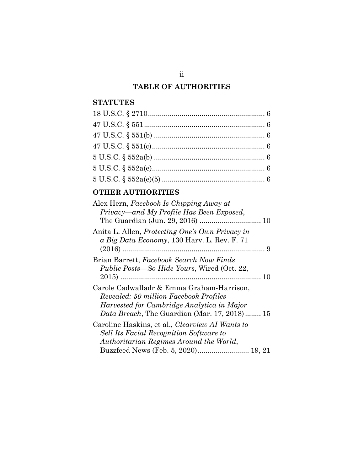# **TABLE OF AUTHORITIES**

## **STATUTES**

| $5 U.S.C. \S 552a(b) \dots$ |  |
|-----------------------------|--|
|                             |  |
|                             |  |

# **OTHER AUTHORITIES**

| Alex Hern, Facebook Is Chipping Away at<br>Privacy—and My Profile Has Been Exposed,                                                                                               |
|-----------------------------------------------------------------------------------------------------------------------------------------------------------------------------------|
|                                                                                                                                                                                   |
| Anita L. Allen, <i>Protecting One's Own Privacy in</i><br>a Big Data Economy, 130 Harv. L. Rev. F. 71                                                                             |
| Brian Barrett, Facebook Search Now Finds<br><i>Public Posts—So Hide Yours, Wired (Oct. 22,</i>                                                                                    |
| Carole Cadwalladr & Emma Graham-Harrison,<br>Revealed: 50 million Facebook Profiles<br>Harvested for Cambridge Analytica in Major<br>Data Breach, The Guardian (Mar. 17, 2018) 15 |
| Caroline Haskins, et al., <i>Clearview AI Wants to</i><br><b>Sell Its Facial Recognition Software to</b><br>Authoritarian Regimes Around the World,                               |
| Buzzfeed News (Feb. 5, 2020) 19, 21                                                                                                                                               |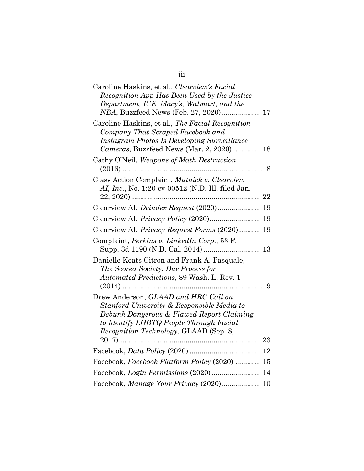| Caroline Haskins, et al., Clearview's Facial<br>Recognition App Has Been Used by the Justice<br>Department, ICE, Macy's, Walmart, and the<br>NBA, Buzzfeed News (Feb. 27, 2020) 17                                   |
|----------------------------------------------------------------------------------------------------------------------------------------------------------------------------------------------------------------------|
| Caroline Haskins, et al., The Facial Recognition<br>Company That Scraped Facebook and<br>Instagram Photos Is Developing Surveillance<br>Cameras, Buzzfeed News (Mar. 2, 2020)  18                                    |
| Cathy O'Neil, Weapons of Math Destruction                                                                                                                                                                            |
| Class Action Complaint, Mutnick v. Clearview<br>AI, Inc., No. 1:20-cv-00512 (N.D. Ill. filed Jan.                                                                                                                    |
| Clearview AI, Deindex Request (2020) 19                                                                                                                                                                              |
| Clearview AI, Privacy Policy (2020) 19                                                                                                                                                                               |
| Clearview AI, Privacy Request Forms (2020) 19                                                                                                                                                                        |
| Complaint, Perkins v. LinkedIn Corp., 53 F.                                                                                                                                                                          |
| Danielle Keats Citron and Frank A. Pasquale,<br>The Scored Society: Due Process for<br>Automated Predictions, 89 Wash. L. Rev. 1                                                                                     |
|                                                                                                                                                                                                                      |
| Drew Anderson, GLAAD and HRC Call on<br>Stanford University & Responsible Media to<br>Debunk Dangerous & Flawed Report Claiming<br>to Identify LGBTQ People Through Facial<br>Recognition Technology, GLAAD (Sep. 8, |
|                                                                                                                                                                                                                      |
|                                                                                                                                                                                                                      |
| Facebook, Facebook Platform Policy (2020)  15                                                                                                                                                                        |
|                                                                                                                                                                                                                      |
| Facebook, Manage Your Privacy (2020) 10                                                                                                                                                                              |

| ۰. | ×<br>I | ×<br>I |  |
|----|--------|--------|--|
|    |        |        |  |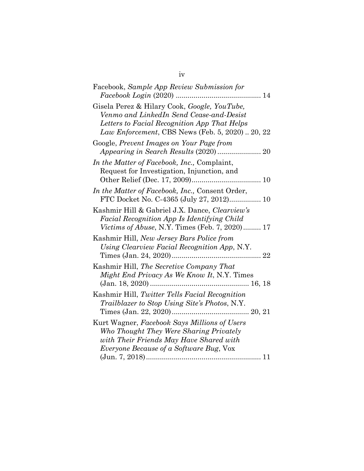| Facebook, Sample App Review Submission for<br>$Facebook$ Login $(2020)$<br>14                                                                                                               |
|---------------------------------------------------------------------------------------------------------------------------------------------------------------------------------------------|
| Gisela Perez & Hilary Cook, Google, YouTube,<br>Venmo and LinkedIn Send Cease-and-Desist<br>Letters to Facial Recognition App That Helps<br>Law Enforcement, CBS News (Feb. 5, 2020) 20, 22 |
| Google, Prevent Images on Your Page from                                                                                                                                                    |
| In the Matter of Facebook, Inc., Complaint,<br>Request for Investigation, Injunction, and                                                                                                   |
| In the Matter of Facebook, Inc., Consent Order,<br>FTC Docket No. C-4365 (July 27, 2012) 10                                                                                                 |
| Kashmir Hill & Gabriel J.X. Dance, Clearview's<br>Facial Recognition App Is Identifying Child<br><i>Victims of Abuse</i> , N.Y. Times (Feb. 7, 2020) 17                                     |
| Kashmir Hill, New Jersey Bars Police from<br>Using Clearview Facial Recognition App, N.Y.<br>Times (Jan. 24, 2020)                                                                          |
| Kashmir Hill, The Secretive Company That<br>Might End Privacy As We Know It, N.Y. Times                                                                                                     |
| Kashmir Hill, Twitter Tells Facial Recognition<br>Trailblazer to Stop Using Site's Photos, N.Y.                                                                                             |
| Kurt Wagner, Facebook Says Millions of Users<br>Who Thought They Were Sharing Privately<br>with Their Friends May Have Shared with<br><i>Everyone Because of a Software Bug, Vox</i>        |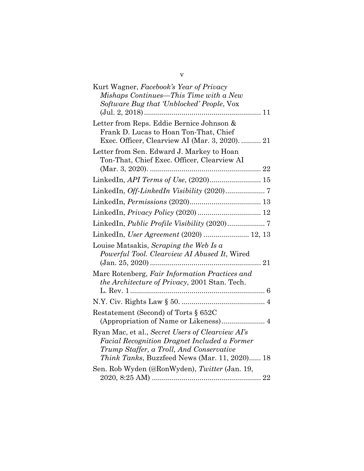| Kurt Wagner, Facebook's Year of Privacy               |
|-------------------------------------------------------|
| Mishaps Continues—This Time with a New                |
| Software Bug that 'Unblocked' People, Vox             |
|                                                       |
| Letter from Reps. Eddie Bernice Johnson &             |
| Frank D. Lucas to Hoan Ton-That, Chief                |
| Exec. Officer, Clearview AI (Mar. 3, 2020).  21       |
| Letter from Sen. Edward J. Markey to Hoan             |
| Ton-That, Chief Exec. Officer, Clearview AI           |
|                                                       |
| LinkedIn, API Terms of Use, (2020) 15                 |
|                                                       |
|                                                       |
|                                                       |
|                                                       |
| LinkedIn, <i>User Agreement</i> (2020)  12, 13        |
| Louise Matsakis, Scraping the Web Is a                |
| Powerful Tool. Clearview AI Abused It, Wired          |
|                                                       |
| Marc Rotenberg, Fair Information Practices and        |
| <i>the Architecture of Privacy</i> , 2001 Stan. Tech. |
|                                                       |
|                                                       |
| Restatement (Second) of Torts § 652C                  |
| (Appropriation of Name or Likeness) 4                 |
| Ryan Mac, et al., Secret Users of Clearview AI's      |
| Facial Recognition Dragnet Included a Former          |
| Trump Staffer, a Troll, And Conservative              |
| <i>Think Tanks</i> , Buzzfeed News (Mar. 11, 2020) 18 |
| Sen. Rob Wyden (@RonWyden), Twitter (Jan. 19,         |
|                                                       |

v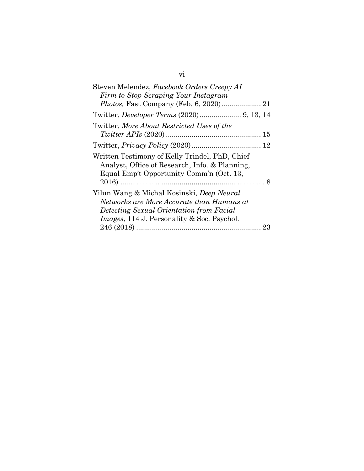| Steven Melendez, Facebook Orders Creepy AI         |    |
|----------------------------------------------------|----|
| Firm to Stop Scraping Your Instagram               |    |
| Photos, Fast Company (Feb. 6, 2020) 21             |    |
|                                                    |    |
| Twitter, More About Restricted Uses of the         |    |
|                                                    |    |
|                                                    |    |
| Written Testimony of Kelly Trindel, PhD, Chief     |    |
| Analyst, Office of Research, Info. & Planning,     |    |
| Equal Emp't Opportunity Comm'n (Oct. 13,           |    |
|                                                    |    |
| Yilun Wang & Michal Kosinski, <i>Deep Neural</i>   |    |
| Networks are More Accurate than Humans at          |    |
| Detecting Sexual Orientation from Facial           |    |
| <i>Images</i> , 114 J. Personality & Soc. Psychol. |    |
|                                                    | 23 |
|                                                    |    |

# vi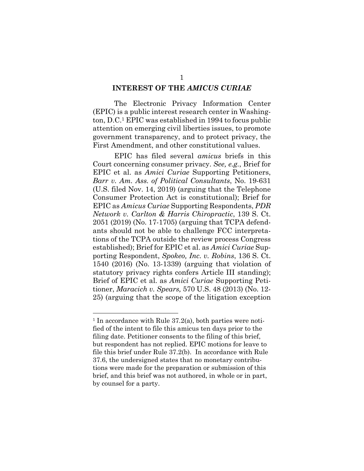#### **INTEREST OF THE** *AMICUS CURIAE*

The Electronic Privacy Information Center (EPIC) is a public interest research center in Washington, D.C.1 EPIC was established in 1994 to focus public attention on emerging civil liberties issues, to promote government transparency, and to protect privacy, the First Amendment, and other constitutional values.

EPIC has filed several *amicus* briefs in this Court concerning consumer privacy. *See, e.g.*, Brief for EPIC et al. as *Amici Curiae* Supporting Petitioners, *Barr v. Am. Ass. of Political Consultants*, No. 19-631 (U.S. filed Nov. 14, 2019) (arguing that the Telephone Consumer Protection Act is constitutional); Brief for EPIC as *Amicus Curiae* Supporting Respondents, *PDR Network v. Carlton & Harris Chiropractic*, 139 S. Ct. 2051 (2019) (No. 17-1705) (arguing that TCPA defendants should not be able to challenge FCC interpretations of the TCPA outside the review process Congress established); Brief for EPIC et al. as *Amici Curiae* Supporting Respondent, *Spokeo, Inc. v. Robins*, 136 S. Ct. 1540 (2016) (No. 13-1339) (arguing that violation of statutory privacy rights confers Article III standing); Brief of EPIC et al. as *Amici Curiae* Supporting Petitioner, *Maracich v. Spears,* 570 U.S. 48 (2013) (No. 12- 25) (arguing that the scope of the litigation exception

<sup>&</sup>lt;sup>1</sup> In accordance with Rule  $37.2(a)$ , both parties were notified of the intent to file this amicus ten days prior to the filing date. Petitioner consents to the filing of this brief, but respondent has not replied. EPIC motions for leave to file this brief under Rule 37.2(b). In accordance with Rule 37.6, the undersigned states that no monetary contributions were made for the preparation or submission of this brief, and this brief was not authored, in whole or in part, by counsel for a party.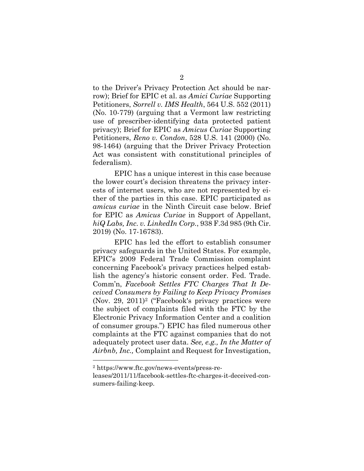to the Driver's Privacy Protection Act should be narrow); Brief for EPIC et al. as *Amici Curiae* Supporting Petitioners, *Sorrell v. IMS Health*, 564 U.S. 552 (2011) (No. 10-779) (arguing that a Vermont law restricting use of prescriber-identifying data protected patient privacy); Brief for EPIC as *Amicus Curiae* Supporting Petitioners, *Reno v. Condon*, 528 U.S. 141 (2000) (No. 98-1464) (arguing that the Driver Privacy Protection Act was consistent with constitutional principles of federalism).

EPIC has a unique interest in this case because the lower court's decision threatens the privacy interests of internet users, who are not represented by either of the parties in this case. EPIC participated as *amicus curiae* in the Ninth Circuit case below. Brief for EPIC as *Amicus Curiae* in Support of Appellant, *hiQ Labs, Inc. v. LinkedIn Corp.*, 938 F.3d 985 (9th Cir. 2019) (No. 17-16783).

EPIC has led the effort to establish consumer privacy safeguards in the United States. For example, EPIC's 2009 Federal Trade Commission complaint concerning Facebook's privacy practices helped establish the agency's historic consent order. Fed. Trade. Comm'n, *Facebook Settles FTC Charges That It Deceived Consumers by Failing to Keep Privacy Promises* (Nov. 29, 2011)2 ("Facebook's privacy practices were the subject of complaints filed with the FTC by the Electronic Privacy Information Center and a coalition of consumer groups.") EPIC has filed numerous other complaints at the FTC against companies that do not adequately protect user data. *See, e.g., In the Matter of Airbnb, Inc.,* Complaint and Request for Investigation,

<sup>2</sup> https://www.ftc.gov/news-events/press-re-

leases/2011/11/facebook-settles-ftc-charges-it-deceived-consumers-failing-keep.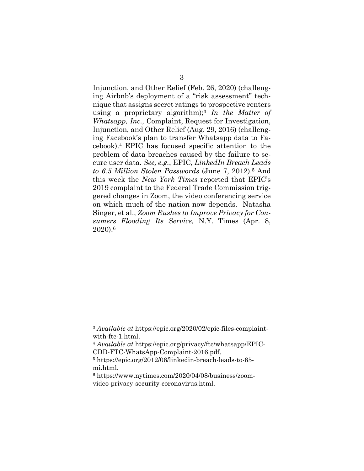Injunction, and Other Relief (Feb. 26, 2020) (challenging Airbnb's deployment of a "risk assessment" technique that assigns secret ratings to prospective renters using a proprietary algorithm);3 *In the Matter of Whatsapp, Inc.,* Complaint, Request for Investigation, Injunction, and Other Relief (Aug. 29, 2016) (challenging Facebook's plan to transfer Whatsapp data to Facebook).4 EPIC has focused specific attention to the problem of data breaches caused by the failure to secure user data. *See, e.g.*, EPIC, *LinkedIn Breach Leads to 6.5 Million Stolen Passwords* (June 7, 2012).5 And this week the *New York Times* reported that EPIC's 2019 complaint to the Federal Trade Commission triggered changes in Zoom, the video conferencing service on which much of the nation now depends. Natasha Singer, et al., *Zoom Rushes to Improve Privacy for Consumers Flooding Its Service,* N.Y. Times (Apr. 8, 2020).6

<sup>3</sup> *Available at* https://epic.org/2020/02/epic-files-complaintwith-ftc-1.html.

<sup>4</sup> *Available at* https://epic.org/privacy/ftc/whatsapp/EPIC-CDD-FTC-WhatsApp-Complaint-2016.pdf.

<sup>5</sup> https://epic.org/2012/06/linkedin-breach-leads-to-65 mi.html.

<sup>6</sup> https://www.nytimes.com/2020/04/08/business/zoomvideo-privacy-security-coronavirus.html.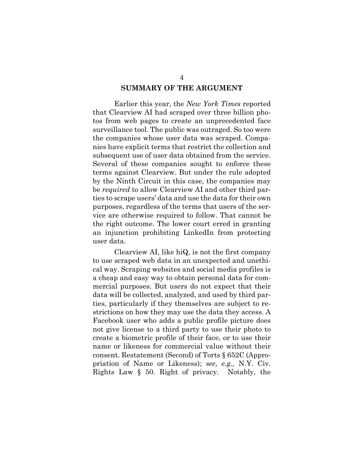#### **SUMMARY OF THE ARGUMENT**

Earlier this year, the *New York Times* reported that Clearview AI had scraped over three billion photos from web pages to create an unprecedented face surveillance tool. The public was outraged. So too were the companies whose user data was scraped. Companies have explicit terms that restrict the collection and subsequent use of user data obtained from the service. Several of these companies sought to enforce these terms against Clearview. But under the rule adopted by the Ninth Circuit in this case, the companies may be *required* to allow Clearview AI and other third parties to scrape users' data and use the data for their own purposes, regardless of the terms that users of the service are otherwise required to follow. That cannot be the right outcome. The lower court erred in granting an injunction prohibiting LinkedIn from protecting user data.

Clearview AI, like hiQ, is not the first company to use scraped web data in an unexpected and unethical way. Scraping websites and social media profiles is a cheap and easy way to obtain personal data for commercial purposes. But users do not expect that their data will be collected, analyzed, and used by third parties, particularly if they themselves are subject to restrictions on how they may use the data they access. A Facebook user who adds a public profile picture does not give license to a third party to use their photo to create a biometric profile of their face, or to use their name or likeness for commercial value without their consent. Restatement (Second) of Torts § 652C (Appropriation of Name or Likeness); *see, e.g.,* N.Y. Civ. Rights Law § 50. Right of privacy. Notably, the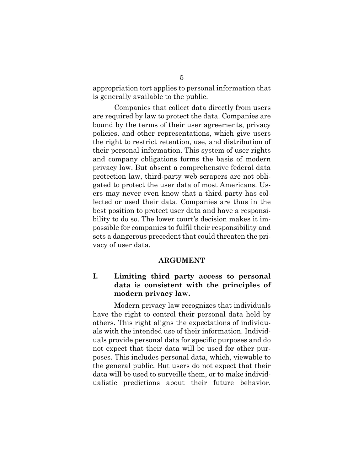appropriation tort applies to personal information that is generally available to the public.

Companies that collect data directly from users are required by law to protect the data. Companies are bound by the terms of their user agreements, privacy policies, and other representations, which give users the right to restrict retention, use, and distribution of their personal information. This system of user rights and company obligations forms the basis of modern privacy law. But absent a comprehensive federal data protection law, third-party web scrapers are not obligated to protect the user data of most Americans. Users may never even know that a third party has collected or used their data. Companies are thus in the best position to protect user data and have a responsibility to do so. The lower court's decision makes it impossible for companies to fulfil their responsibility and sets a dangerous precedent that could threaten the privacy of user data.

#### **ARGUMENT**

### **I. Limiting third party access to personal data is consistent with the principles of modern privacy law.**

Modern privacy law recognizes that individuals have the right to control their personal data held by others. This right aligns the expectations of individuals with the intended use of their information. Individuals provide personal data for specific purposes and do not expect that their data will be used for other purposes. This includes personal data, which, viewable to the general public. But users do not expect that their data will be used to surveille them, or to make individualistic predictions about their future behavior.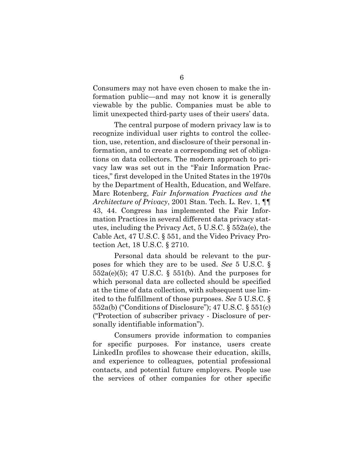Consumers may not have even chosen to make the information public—and may not know it is generally viewable by the public. Companies must be able to limit unexpected third-party uses of their users' data.

The central purpose of modern privacy law is to recognize individual user rights to control the collection, use, retention, and disclosure of their personal information, and to create a corresponding set of obligations on data collectors. The modern approach to privacy law was set out in the "Fair Information Practices," first developed in the United States in the 1970s by the Department of Health, Education, and Welfare. Marc Rotenberg, *Fair Information Practices and the Architecture of Privacy*, 2001 Stan. Tech. L. Rev. 1, ¶¶ 43, 44. Congress has implemented the Fair Information Practices in several different data privacy statutes, including the Privacy Act, 5 U.S.C. § 552a(e), the Cable Act, 47 U.S.C. § 551, and the Video Privacy Protection Act, 18 U.S.C. § 2710.

Personal data should be relevant to the purposes for which they are to be used. *See* 5 U.S.C. §  $552a(e)(5)$ ; 47 U.S.C. §  $551(b)$ . And the purposes for which personal data are collected should be specified at the time of data collection, with subsequent use limited to the fulfillment of those purposes. *See* 5 U.S.C. § 552a(b) ("Conditions of Disclosure"); 47 U.S.C. § 551(c) ("Protection of subscriber privacy - Disclosure of personally identifiable information").

Consumers provide information to companies for specific purposes. For instance, users create LinkedIn profiles to showcase their education, skills, and experience to colleagues, potential professional contacts, and potential future employers. People use the services of other companies for other specific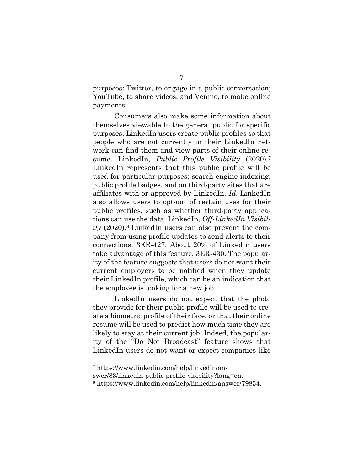purposes: Twitter, to engage in a public conversation; YouTube, to share videos; and Venmo, to make online payments.

Consumers also make some information about themselves viewable to the general public for specific purposes. LinkedIn users create public profiles so that people who are not currently in their LinkedIn network can find them and view parts of their online resume. LinkedIn, *Public Profile Visibility* (2020).7 LinkedIn represents that this public profile will be used for particular purposes: search engine indexing, public profile badges, and on third-party sites that are affiliates with or approved by LinkedIn. *Id*. LinkedIn also allows users to opt-out of certain uses for their public profiles, such as whether third-party applications can use the data. LinkedIn, *Off-LinkedIn Visibility* (2020).8 LinkedIn users can also prevent the company from using profile updates to send alerts to their connections. 3ER-427. About 20% of LinkedIn users take advantage of this feature. 3ER-430. The popularity of the feature suggests that users do not want their current employers to be notified when they update their LinkedIn profile, which can be an indication that the employee is looking for a new job.

LinkedIn users do not expect that the photo they provide for their public profile will be used to create a biometric profile of their face, or that their online resume will be used to predict how much time they are likely to stay at their current job. Indeed, the popularity of the "Do Not Broadcast" feature shows that LinkedIn users do not want or expect companies like

swer/83/linkedin-public-profile-visibility?lang=en.

<sup>7</sup> https://www.linkedin.com/help/linkedin/an-

<sup>8</sup> https://www.linkedin.com/help/linkedin/answer/79854.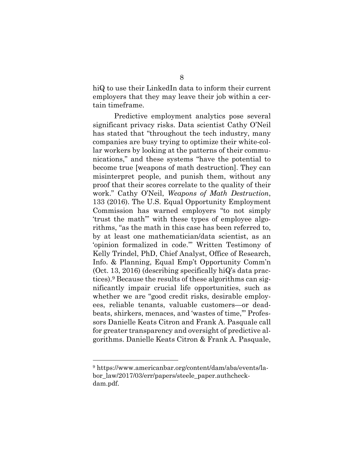hiQ to use their LinkedIn data to inform their current employers that they may leave their job within a certain timeframe.

Predictive employment analytics pose several significant privacy risks. Data scientist Cathy O'Neil has stated that "throughout the tech industry, many companies are busy trying to optimize their white-collar workers by looking at the patterns of their communications," and these systems "have the potential to become true [weapons of math destruction]. They can misinterpret people, and punish them, without any proof that their scores correlate to the quality of their work." Cathy O'Neil, *Weapons of Math Destruction*, 133 (2016). The U.S. Equal Opportunity Employment Commission has warned employers "to not simply 'trust the math'" with these types of employee algorithms, "as the math in this case has been referred to, by at least one mathematician/data scientist, as an 'opinion formalized in code.'" Written Testimony of Kelly Trindel, PhD, Chief Analyst, Office of Research, Info. & Planning, Equal Emp't Opportunity Comm'n (Oct. 13, 2016) (describing specifically hiQ's data practices).9 Because the results of these algorithms can significantly impair crucial life opportunities, such as whether we are "good credit risks, desirable employees, reliable tenants, valuable customers—or deadbeats, shirkers, menaces, and 'wastes of time,'" Professors Danielle Keats Citron and Frank A. Pasquale call for greater transparency and oversight of predictive algorithms. Danielle Keats Citron & Frank A. Pasquale,

<sup>9</sup> https://www.americanbar.org/content/dam/aba/events/labor\_law/2017/03/err/papers/steele\_paper.authcheckdam.pdf.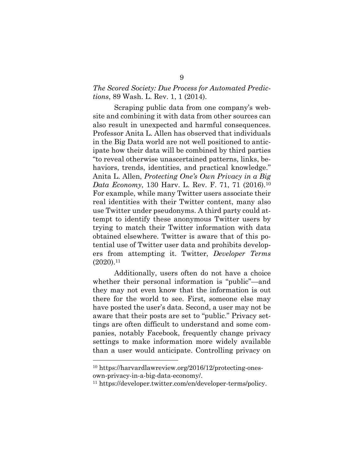### *The Scored Society: Due Process for Automated Predictions*, 89 Wash. L. Rev. 1, 1 (2014).

Scraping public data from one company's website and combining it with data from other sources can also result in unexpected and harmful consequences. Professor Anita L. Allen has observed that individuals in the Big Data world are not well positioned to anticipate how their data will be combined by third parties "to reveal otherwise unascertained patterns, links, behaviors, trends, identities, and practical knowledge." Anita L. Allen, *Protecting One's Own Privacy in a Big Data Economy*, 130 Harv. L. Rev. F. 71, 71 (2016).10 For example, while many Twitter users associate their real identities with their Twitter content, many also use Twitter under pseudonyms. A third party could attempt to identify these anonymous Twitter users by trying to match their Twitter information with data obtained elsewhere. Twitter is aware that of this potential use of Twitter user data and prohibits developers from attempting it. Twitter, *Developer Terms*   $(2020).11$ 

Additionally, users often do not have a choice whether their personal information is "public"—and they may not even know that the information is out there for the world to see. First, someone else may have posted the user's data. Second, a user may not be aware that their posts are set to "public." Privacy settings are often difficult to understand and some companies, notably Facebook, frequently change privacy settings to make information more widely available than a user would anticipate. Controlling privacy on

<sup>10</sup> https://harvardlawreview.org/2016/12/protecting-onesown-privacy-in-a-big-data-economy/.

<sup>11</sup> https://developer.twitter.com/en/developer-terms/policy.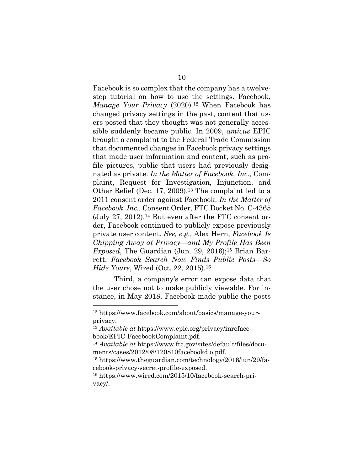Facebook is so complex that the company has a twelvestep tutorial on how to use the settings. Facebook, *Manage Your Privacy* (2020).<sup>12</sup> When Facebook has changed privacy settings in the past, content that users posted that they thought was not generally accessible suddenly became public. In 2009, *amicus* EPIC brought a complaint to the Federal Trade Commission that documented changes in Facebook privacy settings that made user information and content, such as profile pictures, public that users had previously designated as private. *In the Matter of Facebook, Inc.,* Complaint, Request for Investigation, Injunction, and Other Relief (Dec. 17, 2009).<sup>13</sup> The complaint led to a 2011 consent order against Facebook. *In the Matter of Facebook, Inc.,* Consent Order, FTC Docket No. C-4365 (July 27, 2012).14 But even after the FTC consent order, Facebook continued to publicly expose previously private user content. *See, e.g.,* Alex Hern, *Facebook Is Chipping Away at Privacy—and My Profile Has Been Exposed*, The Guardian (Jun. 29, 2016);<sup>15</sup> Brian Barrett, *Facebook Search Now Finds Public Posts—So Hide Yours*, Wired (Oct. 22, 2015).16

Third, a company's error can expose data that the user chose not to make publicly viewable. For instance, in May 2018, Facebook made public the posts

<sup>12</sup> https://www.facebook.com/about/basics/manage-yourprivacy.

<sup>13</sup> *Available at* https://www.epic.org/privacy/inrefacebook/EPIC-FacebookComplaint.pdf.

<sup>14</sup> *Available at* https://www.ftc.gov/sites/default/files/documents/cases/2012/08/120810facebookd o.pdf.

<sup>15</sup> https://www.theguardian.com/technology/2016/jun/29/facebook-privacy-secret-profile-exposed.

<sup>16</sup> https://www.wired.com/2015/10/facebook-search-privacy/.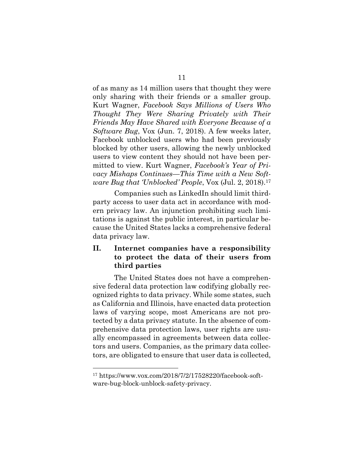of as many as 14 million users that thought they were only sharing with their friends or a smaller group. Kurt Wagner, *Facebook Says Millions of Users Who Thought They Were Sharing Privately with Their Friends May Have Shared with Everyone Because of a Software Bug*, Vox (Jun. 7, 2018). A few weeks later, Facebook unblocked users who had been previously blocked by other users, allowing the newly unblocked users to view content they should not have been permitted to view. Kurt Wagner, *Facebook's Year of Privacy Mishaps Continues—This Time with a New Software Bug that 'Unblocked' People*, Vox (Jul. 2, 2018).17

Companies such as LinkedIn should limit thirdparty access to user data act in accordance with modern privacy law. An injunction prohibiting such limitations is against the public interest, in particular because the United States lacks a comprehensive federal data privacy law.

### **II. Internet companies have a responsibility to protect the data of their users from third parties**

The United States does not have a comprehensive federal data protection law codifying globally recognized rights to data privacy. While some states, such as California and Illinois, have enacted data protection laws of varying scope, most Americans are not protected by a data privacy statute. In the absence of comprehensive data protection laws, user rights are usually encompassed in agreements between data collectors and users. Companies, as the primary data collectors, are obligated to ensure that user data is collected,

<sup>17</sup> https://www.vox.com/2018/7/2/17528220/facebook-software-bug-block-unblock-safety-privacy.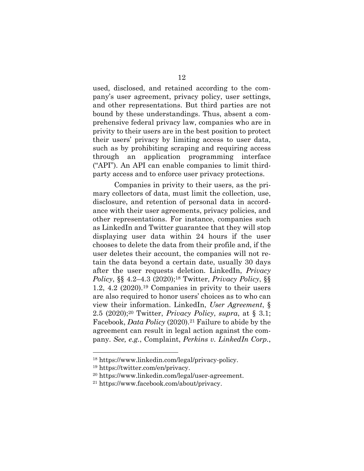used, disclosed, and retained according to the company's user agreement, privacy policy, user settings, and other representations. But third parties are not bound by these understandings. Thus, absent a comprehensive federal privacy law, companies who are in privity to their users are in the best position to protect their users' privacy by limiting access to user data, such as by prohibiting scraping and requiring access through an application programming interface ("API"). An API can enable companies to limit thirdparty access and to enforce user privacy protections.

Companies in privity to their users, as the primary collectors of data, must limit the collection, use, disclosure, and retention of personal data in accordance with their user agreements, privacy policies, and other representations. For instance, companies such as LinkedIn and Twitter guarantee that they will stop displaying user data within 24 hours if the user chooses to delete the data from their profile and, if the user deletes their account, the companies will not retain the data beyond a certain date, usually 30 days after the user requests deletion. LinkedIn, *Privacy Policy*, §§ 4.2–4.3 (2020);18 Twitter, *Privacy Policy*, §§ 1.2, 4.2 (2020).19 Companies in privity to their users are also required to honor users' choices as to who can view their information. LinkedIn, *User Agreement*, § 2.5 (2020);20 Twitter, *Privacy Policy*, *supra*, at § 3.1; Facebook, *Data Policy* (2020).<sup>21</sup> Failure to abide by the agreement can result in legal action against the company. *See, e.g.*, Complaint, *Perkins v. LinkedIn Corp.*,

<sup>18</sup> https://www.linkedin.com/legal/privacy-policy.

<sup>19</sup> https://twitter.com/en/privacy.

<sup>20</sup> https://www.linkedin.com/legal/user-agreement.

<sup>21</sup> https://www.facebook.com/about/privacy.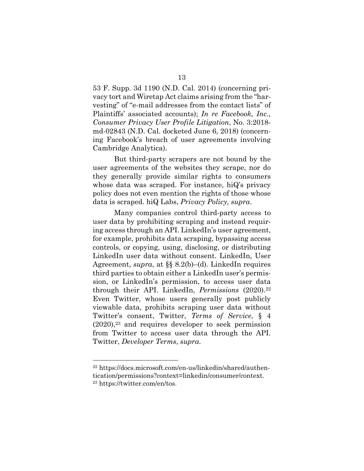53 F. Supp. 3d 1190 (N.D. Cal. 2014) (concerning privacy tort and Wiretap Act claims arising from the "harvesting" of "e-mail addresses from the contact lists" of Plaintiffs' associated accounts); *In re Facebook, Inc., Consumer Privacy User Profile Litigation*, No. 3:2018 md-02843 (N.D. Cal. docketed June 6, 2018) (concerning Facebook's breach of user agreements involving Cambridge Analytica).

But third-party scrapers are not bound by the user agreements of the websites they scrape, nor do they generally provide similar rights to consumers whose data was scraped. For instance, hiQ's privacy policy does not even mention the rights of those whose data is scraped. hiQ Labs, *Privacy Policy, supra*.

Many companies control third-party access to user data by prohibiting scraping and instead requiring access through an API. LinkedIn's user agreement, for example, prohibits data scraping, bypassing access controls, or copying, using, disclosing, or distributing LinkedIn user data without consent. LinkedIn, User Agreement, *supra*, at §§ 8.2(b)–(d). LinkedIn requires third parties to obtain either a LinkedIn user's permission, or LinkedIn's permission, to access user data through their API. LinkedIn, *Permissions* (2020).22 Even Twitter, whose users generally post publicly viewable data, prohibits scraping user data without Twitter's consent, Twitter, *Terms of Service*, § 4  $(2020)$ ,<sup>23</sup> and requires developer to seek permission from Twitter to access user data through the API. Twitter, *Developer Terms*, *supra*.

<sup>22</sup> https://docs.microsoft.com/en-us/linkedin/shared/authentication/permissions?context=linkedin/consumer/context. <sup>23</sup> https://twitter.com/en/tos.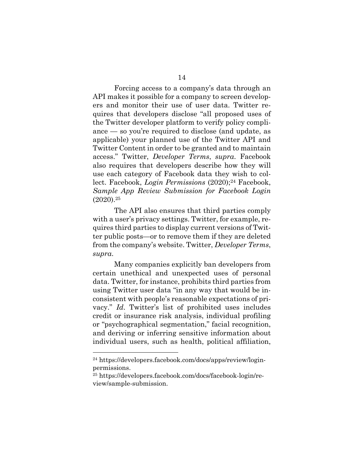Forcing access to a company's data through an API makes it possible for a company to screen developers and monitor their use of user data. Twitter requires that developers disclose "all proposed uses of the Twitter developer platform to verify policy compliance — so you're required to disclose (and update, as applicable) your planned use of the Twitter API and Twitter Content in order to be granted and to maintain access." Twitter, *Developer Terms*, *supra*. Facebook also requires that developers describe how they will use each category of Facebook data they wish to collect. Facebook, *Login Permissions* (2020);<sup>24</sup> Facebook, *Sample App Review Submission for Facebook Login*  $(2020).^{25}$ 

The API also ensures that third parties comply with a user's privacy settings. Twitter, for example, requires third parties to display current versions of Twitter public posts—or to remove them if they are deleted from the company's website. Twitter, *Developer Terms*, *supra*.

Many companies explicitly ban developers from certain unethical and unexpected uses of personal data. Twitter, for instance, prohibits third parties from using Twitter user data "in any way that would be inconsistent with people's reasonable expectations of privacy." *Id*. Twitter's list of prohibited uses includes credit or insurance risk analysis, individual profiling or "psychographical segmentation," facial recognition, and deriving or inferring sensitive information about individual users, such as health, political affiliation,

<sup>24</sup> https://developers.facebook.com/docs/apps/review/loginpermissions.

<sup>25</sup> https://developers.facebook.com/docs/facebook-login/review/sample-submission.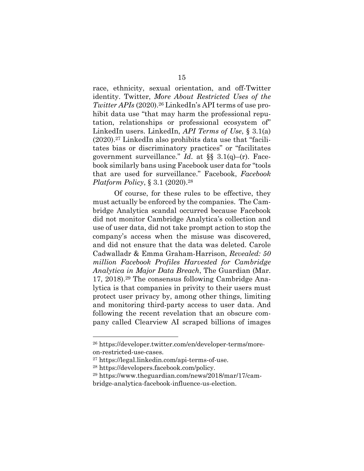race, ethnicity, sexual orientation, and off-Twitter identity. Twitter, *More About Restricted Uses of the Twitter APIs* (2020).26 LinkedIn's API terms of use prohibit data use "that may harm the professional reputation, relationships or professional ecosystem of" LinkedIn users. LinkedIn, *API Terms of Use*, § 3.1(a) (2020).27 LinkedIn also prohibits data use that "facilitates bias or discriminatory practices" or "facilitates government surveillance." *Id*. at §§ 3.1(q)–(r). Facebook similarly bans using Facebook user data for "tools that are used for surveillance." Facebook, *Facebook Platform Policy*, § 3.1 (2020).<sup>28</sup>

Of course, for these rules to be effective, they must actually be enforced by the companies. The Cambridge Analytica scandal occurred because Facebook did not monitor Cambridge Analytica's collection and use of user data, did not take prompt action to stop the company's access when the misuse was discovered, and did not ensure that the data was deleted. Carole Cadwalladr & Emma Graham-Harrison, *Revealed: 50 million Facebook Profiles Harvested for Cambridge Analytica in Major Data Breach*, The Guardian (Mar. 17, 2018).29 The consensus following Cambridge Analytica is that companies in privity to their users must protect user privacy by, among other things, limiting and monitoring third-party access to user data. And following the recent revelation that an obscure company called Clearview AI scraped billions of images

<sup>26</sup> https://developer.twitter.com/en/developer-terms/moreon-restricted-use-cases.

<sup>27</sup> https://legal.linkedin.com/api-terms-of-use.

<sup>28</sup> https://developers.facebook.com/policy.

<sup>29</sup> https://www.theguardian.com/news/2018/mar/17/cambridge-analytica-facebook-influence-us-election.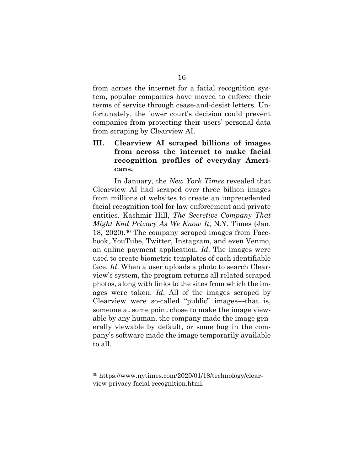from across the internet for a facial recognition system, popular companies have moved to enforce their terms of service through cease-and-desist letters. Unfortunately, the lower court's decision could prevent companies from protecting their users' personal data from scraping by Clearview AI.

### **III. Clearview AI scraped billions of images from across the internet to make facial recognition profiles of everyday Americans.**

In January, the *New York Times* revealed that Clearview AI had scraped over three billion images from millions of websites to create an unprecedented facial recognition tool for law enforcement and private entities. Kashmir Hill, *The Secretive Company That Might End Privacy As We Know It*, N.Y. Times (Jan. 18, 2020).30 The company scraped images from Facebook, YouTube, Twitter, Instagram, and even Venmo, an online payment application. *Id*. The images were used to create biometric templates of each identifiable face. *Id*. When a user uploads a photo to search Clearview's system, the program returns all related scraped photos, along with links to the sites from which the images were taken. *Id*. All of the images scraped by Clearview were so-called "public" images—that is, someone at some point chose to make the image viewable by any human, the company made the image generally viewable by default, or some bug in the company's software made the image temporarily available to all.

<sup>30</sup> https://www.nytimes.com/2020/01/18/technology/clearview-privacy-facial-recognition.html.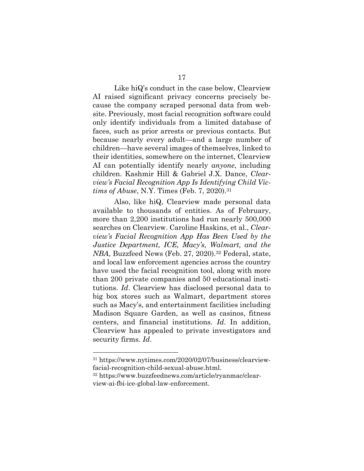Like hiQ's conduct in the case below, Clearview AI raised significant privacy concerns precisely because the company scraped personal data from website. Previously, most facial recognition software could only identify individuals from a limited database of faces, such as prior arrests or previous contacts. But because nearly every adult—and a large number of children—have several images of themselves, linked to their identities, somewhere on the internet, Clearview AI can potentially identify nearly *anyone*, including

children. Kashmir Hill & Gabriel J.X. Dance, *Clearview's Facial Recognition App Is Identifying Child Victims of Abuse*, N.Y. Times (Feb. 7, 2020).31

Also, like hiQ, Clearview made personal data available to thousands of entities. As of February, more than 2,200 institutions had run nearly 500,000 searches on Clearview. Caroline Haskins, et al., *Clearview's Facial Recognition App Has Been Used by the Justice Department, ICE, Macy's, Walmart, and the NBA*, Buzzfeed News (Feb. 27, 2020).<sup>32</sup> Federal, state, and local law enforcement agencies across the country have used the facial recognition tool, along with more than 200 private companies and 50 educational institutions. *Id*. Clearview has disclosed personal data to big box stores such as Walmart, department stores such as Macy's, and entertainment facilities including Madison Square Garden, as well as casinos, fitness centers, and financial institutions. *Id*. In addition, Clearview has appealed to private investigators and security firms. *Id*.

<sup>31</sup> https://www.nytimes.com/2020/02/07/business/clearviewfacial-recognition-child-sexual-abuse.html.

<sup>32</sup> https://www.buzzfeednews.com/article/ryanmac/clearview-ai-fbi-ice-global-law-enforcement.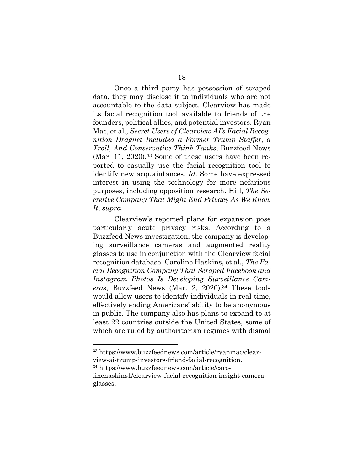Once a third party has possession of scraped data, they may disclose it to individuals who are not accountable to the data subject. Clearview has made its facial recognition tool available to friends of the founders, political allies, and potential investors. Ryan Mac, et al., *Secret Users of Clearview AI's Facial Recognition Dragnet Included a Former Trump Staffer, a Troll, And Conservative Think Tanks*, Buzzfeed News (Mar. 11, 2020).<sup>33</sup> Some of these users have been reported to casually use the facial recognition tool to identify new acquaintances. *Id*. Some have expressed interest in using the technology for more nefarious purposes, including opposition research. Hill, *The Secretive Company That Might End Privacy As We Know It*, *supra*.

Clearview's reported plans for expansion pose particularly acute privacy risks. According to a Buzzfeed News investigation, the company is developing surveillance cameras and augmented reality glasses to use in conjunction with the Clearview facial recognition database. Caroline Haskins, et al., *The Facial Recognition Company That Scraped Facebook and Instagram Photos Is Developing Surveillance Cameras*, Buzzfeed News (Mar. 2, 2020).34 These tools would allow users to identify individuals in real-time, effectively ending Americans' ability to be anonymous in public. The company also has plans to expand to at least 22 countries outside the United States, some of which are ruled by authoritarian regimes with dismal

<sup>34</sup> https://www.buzzfeednews.com/article/caro-

<sup>33</sup> https://www.buzzfeednews.com/article/ryanmac/clearview-ai-trump-investors-friend-facial-recognition.

linehaskins1/clearview-facial-recognition-insight-cameraglasses.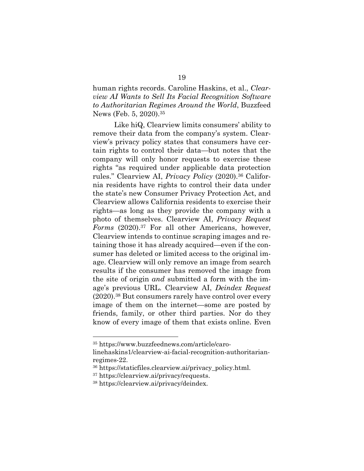human rights records. Caroline Haskins, et al., *Clearview AI Wants to Sell Its Facial Recognition Software to Authoritarian Regimes Around the World*, Buzzfeed News (Feb. 5, 2020).35

Like hiQ, Clearview limits consumers' ability to remove their data from the company's system. Clearview's privacy policy states that consumers have certain rights to control their data—but notes that the company will only honor requests to exercise these rights "as required under applicable data protection rules." Clearview AI, *Privacy Policy* (2020).36 California residents have rights to control their data under the state's new Consumer Privacy Protection Act, and Clearview allows California residents to exercise their rights—as long as they provide the company with a photo of themselves. Clearview AI, *Privacy Request Forms* (2020).37 For all other Americans, however, Clearview intends to continue scraping images and retaining those it has already acquired—even if the consumer has deleted or limited access to the original image. Clearview will only remove an image from search results if the consumer has removed the image from the site of origin *and* submitted a form with the image's previous URL. Clearview AI, *Deindex Request* (2020).38 But consumers rarely have control over every image of them on the internet—some are posted by friends, family, or other third parties. Nor do they know of every image of them that exists online. Even

<sup>35</sup> https://www.buzzfeednews.com/article/caro-

linehaskins1/clearview-ai-facial-recognition-authoritarianregimes-22.

<sup>36</sup> https://staticfiles.clearview.ai/privacy\_policy.html.

<sup>37</sup> https://clearview.ai/privacy/requests.

<sup>38</sup> https://clearview.ai/privacy/deindex.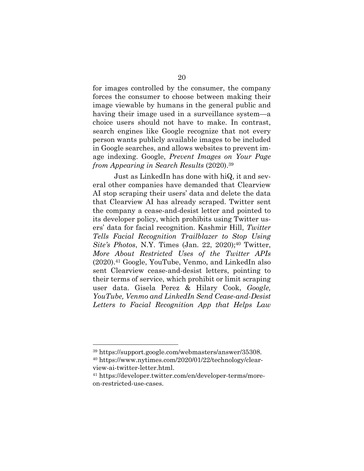for images controlled by the consumer, the company forces the consumer to choose between making their image viewable by humans in the general public and having their image used in a surveillance system—a choice users should not have to make. In contrast, search engines like Google recognize that not every person wants publicly available images to be included in Google searches, and allows websites to prevent image indexing. Google, *Prevent Images on Your Page from Appearing in Search Results* (2020).39

Just as LinkedIn has done with hiQ, it and several other companies have demanded that Clearview AI stop scraping their users' data and delete the data that Clearview AI has already scraped. Twitter sent the company a cease-and-desist letter and pointed to its developer policy, which prohibits using Twitter users' data for facial recognition. Kashmir Hill, *Twitter Tells Facial Recognition Trailblazer to Stop Using Site's Photos*, N.Y. Times (Jan. 22, 2020);<sup>40</sup> Twitter, *More About Restricted Uses of the Twitter APIs* (2020).41 Google, YouTube, Venmo, and LinkedIn also sent Clearview cease-and-desist letters, pointing to their terms of service, which prohibit or limit scraping user data. Gisela Perez & Hilary Cook, *Google, YouTube, Venmo and LinkedIn Send Cease-and-Desist Letters to Facial Recognition App that Helps Law* 

<sup>39</sup> https://support.google.com/webmasters/answer/35308.

<sup>40</sup> https://www.nytimes.com/2020/01/22/technology/clearview-ai-twitter-letter.html.

<sup>41</sup> https://developer.twitter.com/en/developer-terms/moreon-restricted-use-cases.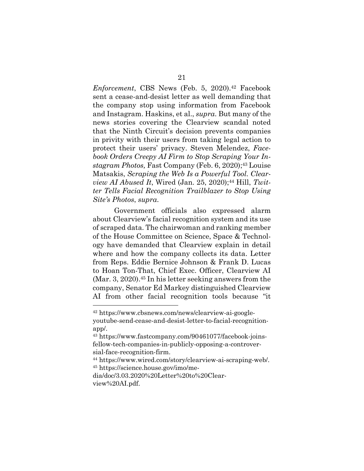*Enforcement*, CBS News (Feb. 5, 2020).<sup>42</sup> Facebook sent a cease-and-desist letter as well demanding that the company stop using information from Facebook and Instagram. Haskins, et al., *supra*. But many of the news stories covering the Clearview scandal noted that the Ninth Circuit's decision prevents companies in privity with their users from taking legal action to protect their users' privacy. Steven Melendez, *Facebook Orders Creepy AI Firm to Stop Scraping Your Instagram Photos,* Fast Company (Feb. 6, 2020);43 Louise Matsakis, *Scraping the Web Is a Powerful Tool. Clearview AI Abused It*, Wired (Jan. 25, 2020);<sup>44</sup> Hill, *Twitter Tells Facial Recognition Trailblazer to Stop Using Site's Photos*, *supra*.

Government officials also expressed alarm about Clearview's facial recognition system and its use of scraped data. The chairwoman and ranking member of the House Committee on Science, Space & Technology have demanded that Clearview explain in detail where and how the company collects its data. Letter from Reps. Eddie Bernice Johnson & Frank D. Lucas to Hoan Ton-That, Chief Exec. Officer, Clearview AI  $(Mar. 3, 2020).$ <sup>45</sup> In his letter seeking answers from the company, Senator Ed Markey distinguished Clearview AI from other facial recognition tools because "it

<sup>45</sup> https://science.house.gov/imo/me-

<sup>42</sup> https://www.cbsnews.com/news/clearview-ai-googleyoutube-send-cease-and-desist-letter-to-facial-recognitionapp/.

<sup>43</sup> https://www.fastcompany.com/90461077/facebook-joinsfellow-tech-companies-in-publicly-opposing-a-controversial-face-recognition-firm.

<sup>44</sup> https://www.wired.com/story/clearview-ai-scraping-web/.

dia/doc/3.03.2020%20Letter%20to%20Clearview%20AI.pdf.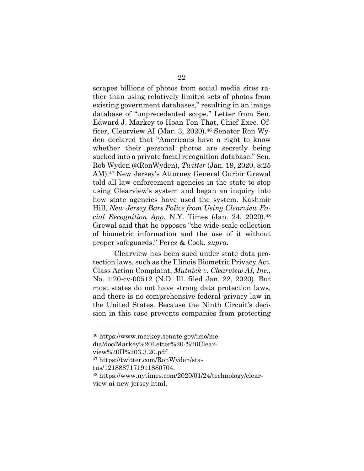scrapes billions of photos from social media sites rather than using relatively limited sets of photos from existing government databases," resulting in an image database of "unprecedented scope." Letter from Sen. Edward J. Markey to Hoan Ton-That, Chief Exec. Officer, Clearview AI (Mar. 3, 2020).<sup>46</sup> Senator Ron Wyden declared that "Americans have a right to know whether their personal photos are secretly being sucked into a private facial recognition database." Sen. Rob Wyden (@RonWyden), *Twitter* (Jan. 19, 2020, 8:25 AM).47 New Jersey's Attorney General Gurbir Grewal told all law enforcement agencies in the state to stop using Clearview's system and began an inquiry into how state agencies have used the system. Kashmir Hill, *New Jersey Bars Police from Using Clearview Facial Recognition App*, N.Y. Times (Jan. 24, 2020).48 Grewal said that he opposes "the wide-scale collection of biometric information and the use of it without proper safeguards." Perez & Cook, *supra*.

Clearview has been sued under state data protection laws, such as the Illinois Biometric Privacy Act. Class Action Complaint, *Mutnick v. Clearview AI, Inc.*, No. 1:20-cv-00512 (N.D. Ill. filed Jan. 22, 2020). But most states do not have strong data protection laws, and there is no comprehensive federal privacy law in the United States. Because the Ninth Circuit's decision in this case prevents companies from protecting

dia/doc/Markey%20Letter%20-%20Clear-

view%20II%203.3.20.pdf.

<sup>46</sup> https://www.markey.senate.gov/imo/me-

<sup>47</sup> https://twitter.com/RonWyden/sta-

tus/1218887171911880704.

<sup>48</sup> https://www.nytimes.com/2020/01/24/technology/clearview-ai-new-jersey.html.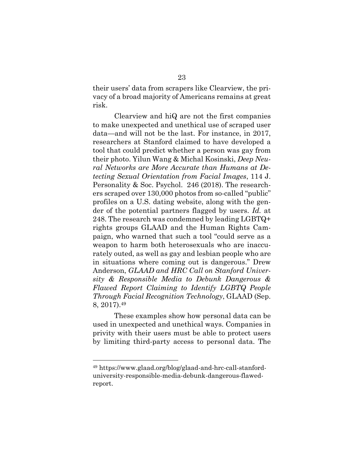their users' data from scrapers like Clearview, the privacy of a broad majority of Americans remains at great risk.

Clearview and hiQ are not the first companies to make unexpected and unethical use of scraped user data—and will not be the last. For instance, in 2017, researchers at Stanford claimed to have developed a tool that could predict whether a person was gay from their photo. Yilun Wang & Michal Kosinski, *Deep Neural Networks are More Accurate than Humans at Detecting Sexual Orientation from Facial Images*, 114 J. Personality & Soc. Psychol. 246 (2018). The researchers scraped over 130,000 photos from so-called "public" profiles on a U.S. dating website, along with the gender of the potential partners flagged by users. *Id.* at 248. The research was condemned by leading LGBTQ+ rights groups GLAAD and the Human Rights Campaign, who warned that such a tool "could serve as a weapon to harm both heterosexuals who are inaccurately outed, as well as gay and lesbian people who are in situations where coming out is dangerous." Drew Anderson, *GLAAD and HRC Call on Stanford University & Responsible Media to Debunk Dangerous & Flawed Report Claiming to Identify LGBTQ People Through Facial Recognition Technology*, GLAAD (Sep. 8, 2017).49

These examples show how personal data can be used in unexpected and unethical ways. Companies in privity with their users must be able to protect users by limiting third-party access to personal data. The

<sup>49</sup> https://www.glaad.org/blog/glaad-and-hrc-call-stanforduniversity-responsible-media-debunk-dangerous-flawedreport.